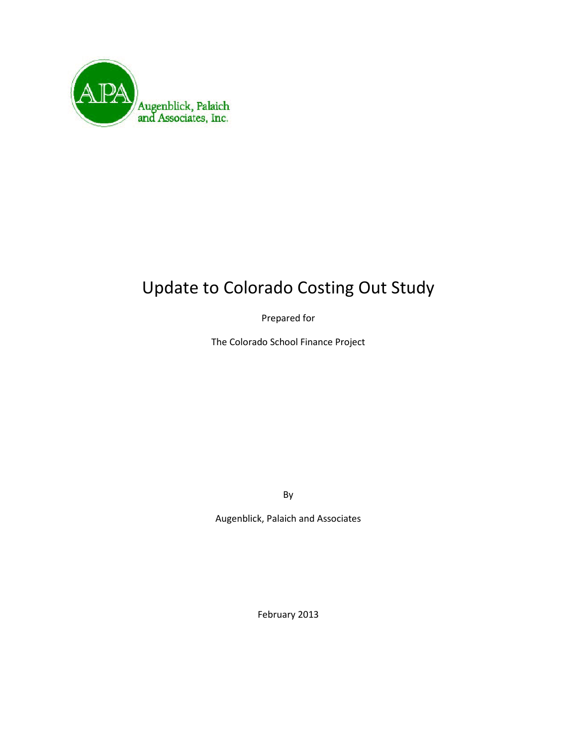

# Update to Colorado Costing Out Study

Prepared for

The Colorado School Finance Project

By

Augenblick, Palaich and Associates

February 2013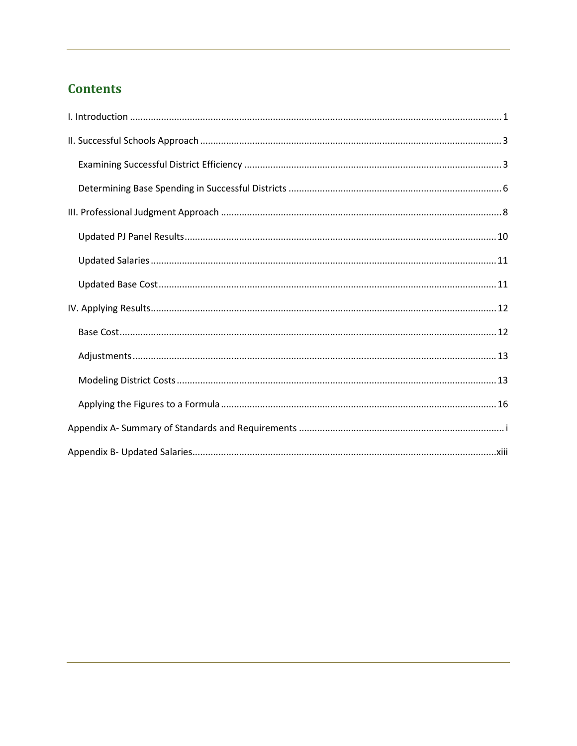# **Contents**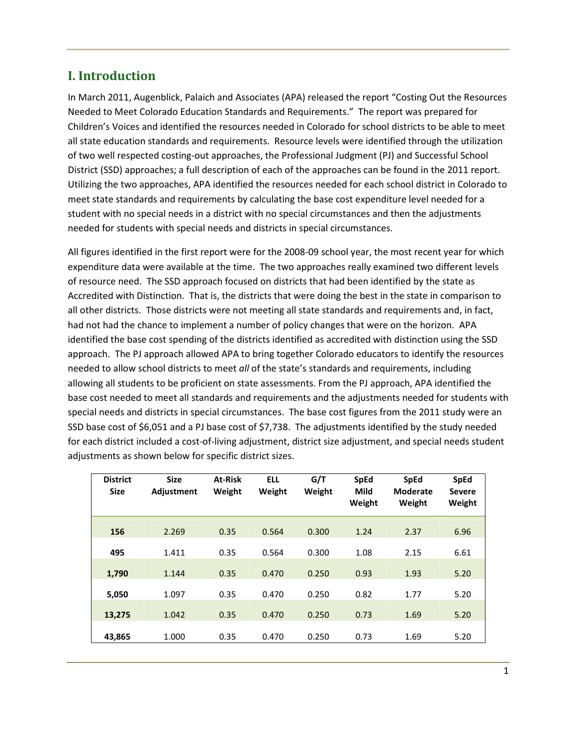# **I. Introduction**

In March 2011, Augenblick, Palaich and Associates (APA) released the report "Costing Out the Resources Needed to Meet Colorado Education Standards and Requirements." The report was prepared for Children's Voices and identified the resources needed in Colorado for school districts to be able to meet all state education standards and requirements. Resource levels were identified through the utilization of two well respected costing-out approaches, the Professional Judgment (PJ) and Successful School District (SSD) approaches; a full description of each of the approaches can be found in the 2011 report. Utilizing the two approaches, APA identified the resources needed for each school district in Colorado to meet state standards and requirements by calculating the base cost expenditure level needed for a student with no special needs in a district with no special circumstances and then the adjustments needed for students with special needs and districts in special circumstances.

All figures identified in the first report were for the 2008-09 school year, the most recent year for which expenditure data were available at the time. The two approaches really examined two different levels of resource need. The SSD approach focused on districts that had been identified by the state as Accredited with Distinction. That is, the districts that were doing the best in the state in comparison to all other districts. Those districts were not meeting all state standards and requirements and, in fact, had not had the chance to implement a number of policy changes that were on the horizon. APA identified the base cost spending of the districts identified as accredited with distinction using the SSD approach. The PJ approach allowed APA to bring together Colorado educators to identify the resources needed to allow school districts to meet *all* of the state's standards and requirements, including allowing all students to be proficient on state assessments. From the PJ approach, APA identified the base cost needed to meet all standards and requirements and the adjustments needed for students with special needs and districts in special circumstances. The base cost figures from the 2011 study were an SSD base cost of \$6,051 and a PJ base cost of \$7,738. The adjustments identified by the study needed for each district included a cost-of-living adjustment, district size adjustment, and special needs student adjustments as shown below for specific district sizes.

| <b>District</b><br><b>Size</b> | <b>Size</b><br><b>Adjustment</b> | <b>At-Risk</b><br>Weight | <b>ELL</b><br>Weight | G/T<br>Weight | <b>SpEd</b><br>Mild<br>Weight | <b>SpEd</b><br><b>Moderate</b><br>Weight | <b>SpEd</b><br><b>Severe</b><br>Weight |
|--------------------------------|----------------------------------|--------------------------|----------------------|---------------|-------------------------------|------------------------------------------|----------------------------------------|
| 156                            | 2.269                            | 0.35                     | 0.564                | 0.300         | 1.24                          | 2.37                                     | 6.96                                   |
| 495                            | 1.411                            | 0.35                     | 0.564                | 0.300         | 1.08                          | 2.15                                     | 6.61                                   |
| 1,790                          | 1.144                            | 0.35                     | 0.470                | 0.250         | 0.93                          | 1.93                                     | 5.20                                   |
| 5,050                          | 1.097                            | 0.35                     | 0.470                | 0.250         | 0.82                          | 1.77                                     | 5.20                                   |
| 13,275                         | 1.042                            | 0.35                     | 0.470                | 0.250         | 0.73                          | 1.69                                     | 5.20                                   |
| 43,865                         | 1.000                            | 0.35                     | 0.470                | 0.250         | 0.73                          | 1.69                                     | 5.20                                   |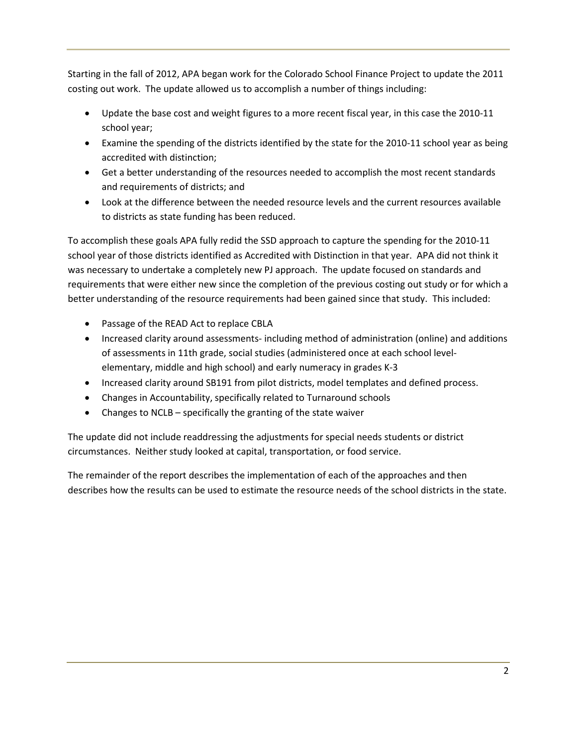Starting in the fall of 2012, APA began work for the Colorado School Finance Project to update the 2011 costing out work. The update allowed us to accomplish a number of things including:

- Update the base cost and weight figures to a more recent fiscal year, in this case the 2010-11 school year;
- Examine the spending of the districts identified by the state for the 2010-11 school year as being accredited with distinction;
- Get a better understanding of the resources needed to accomplish the most recent standards and requirements of districts; and
- Look at the difference between the needed resource levels and the current resources available to districts as state funding has been reduced.

To accomplish these goals APA fully redid the SSD approach to capture the spending for the 2010-11 school year of those districts identified as Accredited with Distinction in that year. APA did not think it was necessary to undertake a completely new PJ approach. The update focused on standards and requirements that were either new since the completion of the previous costing out study or for which a better understanding of the resource requirements had been gained since that study. This included:

- Passage of the READ Act to replace CBLA
- Increased clarity around assessments- including method of administration (online) and additions of assessments in 11th grade, social studies (administered once at each school levelelementary, middle and high school) and early numeracy in grades K-3
- Increased clarity around SB191 from pilot districts, model templates and defined process.
- Changes in Accountability, specifically related to Turnaround schools
- Changes to NCLB specifically the granting of the state waiver

The update did not include readdressing the adjustments for special needs students or district circumstances. Neither study looked at capital, transportation, or food service.

The remainder of the report describes the implementation of each of the approaches and then describes how the results can be used to estimate the resource needs of the school districts in the state.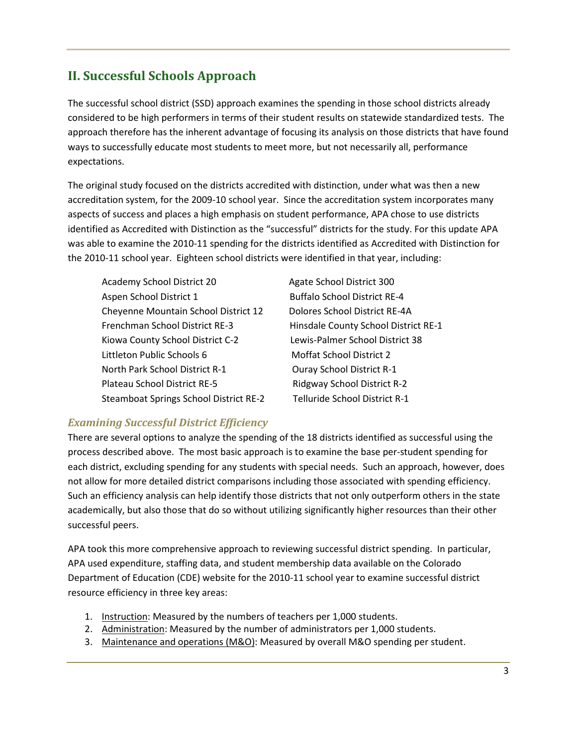# **II. Successful Schools Approach**

The successful school district (SSD) approach examines the spending in those school districts already considered to be high performers in terms of their student results on statewide standardized tests. The approach therefore has the inherent advantage of focusing its analysis on those districts that have found ways to successfully educate most students to meet more, but not necessarily all, performance expectations.

The original study focused on the districts accredited with distinction, under what was then a new accreditation system, for the 2009-10 school year. Since the accreditation system incorporates many aspects of success and places a high emphasis on student performance, APA chose to use districts identified as Accredited with Distinction as the "successful" districts for the study. For this update APA was able to examine the 2010-11 spending for the districts identified as Accredited with Distinction for the 2010-11 school year. Eighteen school districts were identified in that year, including:

Academy School District 20 Agate School District 300 Aspen School District 1 Buffalo School District RE-4 Cheyenne Mountain School District 12 Dolores School District RE-4A Frenchman School District RE-3 Hinsdale County School District RE-1 Kiowa County School District C-2 Lewis-Palmer School District 38 Littleton Public Schools 6 Moffat School District 2 North Park School District R-1 **Ouray School District R-1** Plateau School District RE-5 Ridgway School District R-2 Steamboat Springs School District RE-2 Telluride School District R-1

### *Examining Successful District Efficiency*

There are several options to analyze the spending of the 18 districts identified as successful using the process described above. The most basic approach is to examine the base per-student spending for each district, excluding spending for any students with special needs. Such an approach, however, does not allow for more detailed district comparisons including those associated with spending efficiency. Such an efficiency analysis can help identify those districts that not only outperform others in the state academically, but also those that do so without utilizing significantly higher resources than their other successful peers.

APA took this more comprehensive approach to reviewing successful district spending. In particular, APA used expenditure, staffing data, and student membership data available on the Colorado Department of Education (CDE) website for the 2010-11 school year to examine successful district resource efficiency in three key areas:

- 1. Instruction: Measured by the numbers of teachers per 1,000 students.
- 2. Administration: Measured by the number of administrators per 1,000 students.
- 3. Maintenance and operations (M&O): Measured by overall M&O spending per student.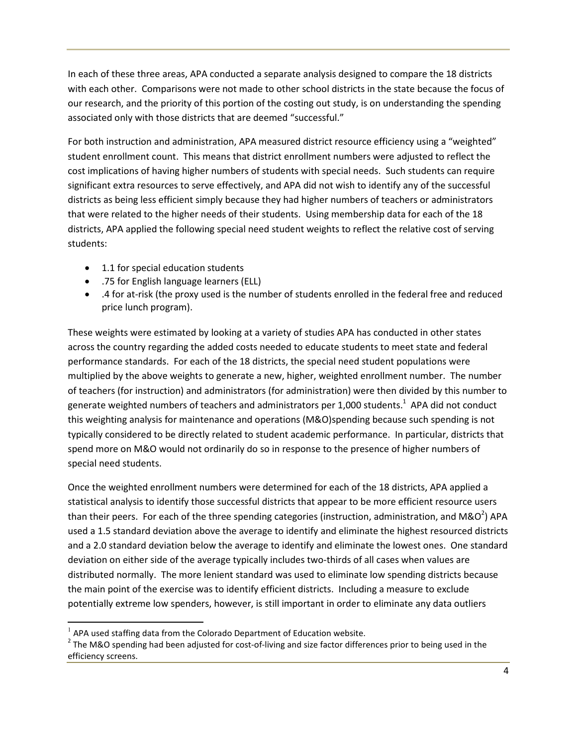In each of these three areas, APA conducted a separate analysis designed to compare the 18 districts with each other. Comparisons were not made to other school districts in the state because the focus of our research, and the priority of this portion of the costing out study, is on understanding the spending associated only with those districts that are deemed "successful."

For both instruction and administration, APA measured district resource efficiency using a "weighted" student enrollment count. This means that district enrollment numbers were adjusted to reflect the cost implications of having higher numbers of students with special needs. Such students can require significant extra resources to serve effectively, and APA did not wish to identify any of the successful districts as being less efficient simply because they had higher numbers of teachers or administrators that were related to the higher needs of their students. Using membership data for each of the 18 districts, APA applied the following special need student weights to reflect the relative cost of serving students:

- 1.1 for special education students
- .75 for English language learners (ELL)
- .4 for at-risk (the proxy used is the number of students enrolled in the federal free and reduced price lunch program).

These weights were estimated by looking at a variety of studies APA has conducted in other states across the country regarding the added costs needed to educate students to meet state and federal performance standards. For each of the 18 districts, the special need student populations were multiplied by the above weights to generate a new, higher, weighted enrollment number. The number of teachers (for instruction) and administrators (for administration) were then divided by this number to generate weighted numbers of teachers and administrators per 1,000 students.<sup>1</sup> APA did not conduct this weighting analysis for maintenance and operations (M&O)spending because such spending is not typically considered to be directly related to student academic performance. In particular, districts that spend more on M&O would not ordinarily do so in response to the presence of higher numbers of special need students.

Once the weighted enrollment numbers were determined for each of the 18 districts, APA applied a statistical analysis to identify those successful districts that appear to be more efficient resource users than their peers. For each of the three spending categories (instruction, administration, and M&O<sup>2</sup>) APA used a 1.5 standard deviation above the average to identify and eliminate the highest resourced districts and a 2.0 standard deviation below the average to identify and eliminate the lowest ones. One standard deviation on either side of the average typically includes two-thirds of all cases when values are distributed normally. The more lenient standard was used to eliminate low spending districts because the main point of the exercise was to identify efficient districts. Including a measure to exclude potentially extreme low spenders, however, is still important in order to eliminate any data outliers

<u>.</u>

 $<sup>1</sup>$  APA used staffing data from the Colorado Department of Education website.</sup>

 $2$  The M&O spending had been adjusted for cost-of-living and size factor differences prior to being used in the efficiency screens.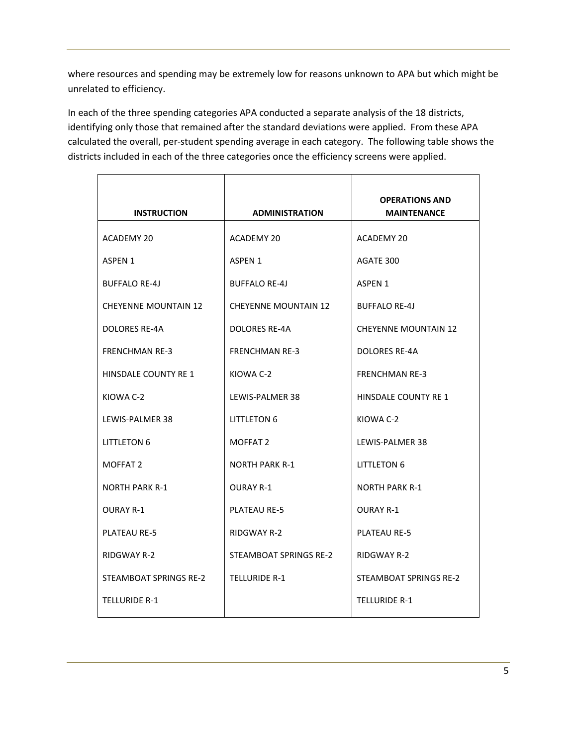where resources and spending may be extremely low for reasons unknown to APA but which might be unrelated to efficiency.

In each of the three spending categories APA conducted a separate analysis of the 18 districts, identifying only those that remained after the standard deviations were applied. From these APA calculated the overall, per-student spending average in each category. The following table shows the districts included in each of the three categories once the efficiency screens were applied.

| <b>INSTRUCTION</b><br><b>ADMINISTRATION</b> |                             | <b>OPERATIONS AND</b><br><b>MAINTENANCE</b> |
|---------------------------------------------|-----------------------------|---------------------------------------------|
| <b>ACADEMY 20</b>                           | <b>ACADEMY 20</b>           | <b>ACADEMY 20</b>                           |
| ASPEN 1                                     | ASPEN 1                     | AGATE 300                                   |
| <b>BUFFALO RE-4J</b>                        | <b>BUFFALO RE-4J</b>        | ASPEN 1                                     |
| <b>CHEYENNE MOUNTAIN 12</b>                 | <b>CHEYENNE MOUNTAIN 12</b> | <b>BUFFALO RE-4J</b>                        |
| DOLORES RE-4A                               | DOLORES RE-4A               | <b>CHEYENNE MOUNTAIN 12</b>                 |
| <b>FRENCHMAN RE-3</b>                       | <b>FRENCHMAN RE-3</b>       | <b>DOLORES RE-4A</b>                        |
| HINSDALE COUNTY RE 1                        | KIOWA C-2                   | <b>FRENCHMAN RE-3</b>                       |
| KIOWA C-2                                   | LEWIS-PALMER 38             | HINSDALE COUNTY RE 1                        |
| LEWIS-PALMER 38                             | LITTLETON 6                 | KIOWA C-2                                   |
| LITTLETON 6                                 | <b>MOFFAT 2</b>             | LEWIS-PALMER 38                             |
| MOFFAT 2                                    | <b>NORTH PARK R-1</b>       | LITTLETON 6                                 |
| <b>NORTH PARK R-1</b>                       | <b>OURAY R-1</b>            | <b>NORTH PARK R-1</b>                       |
| <b>OURAY R-1</b>                            | <b>PLATEAU RE-5</b>         | <b>OURAY R-1</b>                            |
| <b>PLATEAU RE-5</b>                         | RIDGWAY R-2                 | <b>PLATEAU RE-5</b>                         |
| <b>RIDGWAY R-2</b>                          | STEAMBOAT SPRINGS RE-2      | <b>RIDGWAY R-2</b>                          |
| STEAMBOAT SPRINGS RE-2                      | <b>TELLURIDE R-1</b>        | STEAMBOAT SPRINGS RE-2                      |
| <b>TELLURIDE R-1</b>                        |                             | <b>TELLURIDE R-1</b>                        |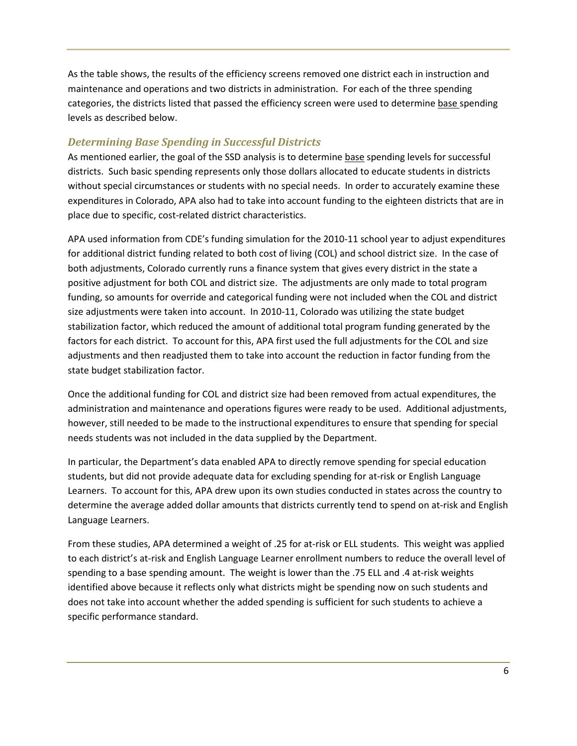As the table shows, the results of the efficiency screens removed one district each in instruction and maintenance and operations and two districts in administration. For each of the three spending categories, the districts listed that passed the efficiency screen were used to determine base spending levels as described below.

### *Determining Base Spending in Successful Districts*

As mentioned earlier, the goal of the SSD analysis is to determine base spending levels for successful districts. Such basic spending represents only those dollars allocated to educate students in districts without special circumstances or students with no special needs. In order to accurately examine these expenditures in Colorado, APA also had to take into account funding to the eighteen districts that are in place due to specific, cost-related district characteristics.

APA used information from CDE's funding simulation for the 2010-11 school year to adjust expenditures for additional district funding related to both cost of living (COL) and school district size. In the case of both adjustments, Colorado currently runs a finance system that gives every district in the state a positive adjustment for both COL and district size. The adjustments are only made to total program funding, so amounts for override and categorical funding were not included when the COL and district size adjustments were taken into account. In 2010-11, Colorado was utilizing the state budget stabilization factor, which reduced the amount of additional total program funding generated by the factors for each district. To account for this, APA first used the full adjustments for the COL and size adjustments and then readjusted them to take into account the reduction in factor funding from the state budget stabilization factor.

Once the additional funding for COL and district size had been removed from actual expenditures, the administration and maintenance and operations figures were ready to be used. Additional adjustments, however, still needed to be made to the instructional expenditures to ensure that spending for special needs students was not included in the data supplied by the Department.

In particular, the Department's data enabled APA to directly remove spending for special education students, but did not provide adequate data for excluding spending for at-risk or English Language Learners. To account for this, APA drew upon its own studies conducted in states across the country to determine the average added dollar amounts that districts currently tend to spend on at-risk and English Language Learners.

From these studies, APA determined a weight of .25 for at-risk or ELL students. This weight was applied to each district's at-risk and English Language Learner enrollment numbers to reduce the overall level of spending to a base spending amount. The weight is lower than the .75 ELL and .4 at-risk weights identified above because it reflects only what districts might be spending now on such students and does not take into account whether the added spending is sufficient for such students to achieve a specific performance standard.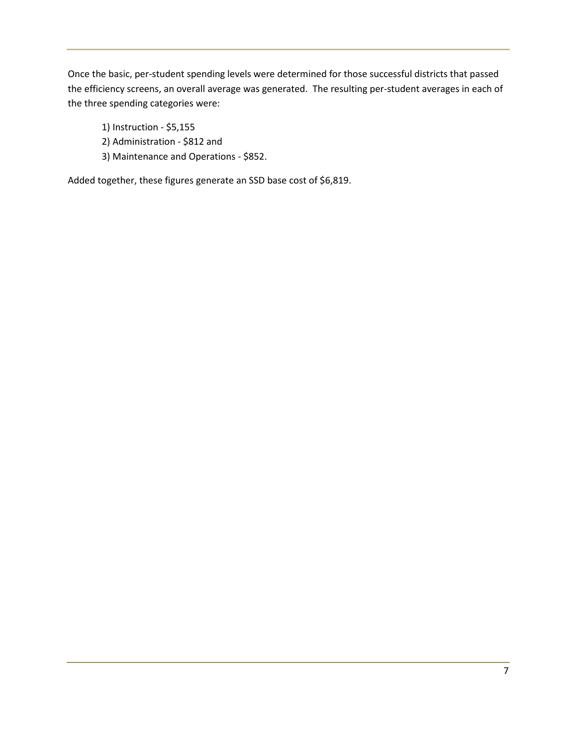Once the basic, per-student spending levels were determined for those successful districts that passed the efficiency screens, an overall average was generated. The resulting per-student averages in each of the three spending categories were:

- 1) Instruction \$5,155
- 2) Administration \$812 and
- 3) Maintenance and Operations \$852.

Added together, these figures generate an SSD base cost of \$6,819.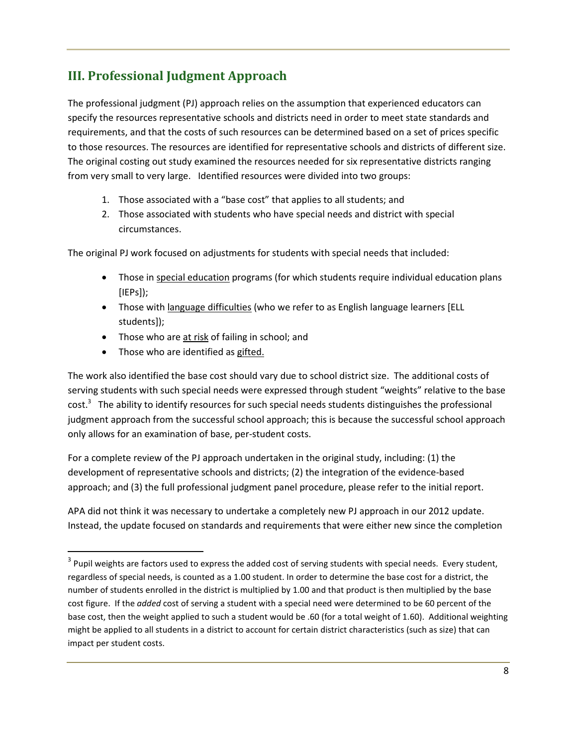# **III. Professional Judgment Approach**

The professional judgment (PJ) approach relies on the assumption that experienced educators can specify the resources representative schools and districts need in order to meet state standards and requirements, and that the costs of such resources can be determined based on a set of prices specific to those resources. The resources are identified for representative schools and districts of different size. The original costing out study examined the resources needed for six representative districts ranging from very small to very large. Identified resources were divided into two groups:

- 1. Those associated with a "base cost" that applies to all students; and
- 2. Those associated with students who have special needs and district with special circumstances.

The original PJ work focused on adjustments for students with special needs that included:

- Those in special education programs (for which students require individual education plans [IEPs]);
- Those with language difficulties (who we refer to as English language learners [ELL students]);
- Those who are at risk of failing in school; and
- Those who are identified as gifted.

<u>.</u>

The work also identified the base cost should vary due to school district size. The additional costs of serving students with such special needs were expressed through student "weights" relative to the base  $\cot^3$  The ability to identify resources for such special needs students distinguishes the professional judgment approach from the successful school approach; this is because the successful school approach only allows for an examination of base, per-student costs.

For a complete review of the PJ approach undertaken in the original study, including: (1) the development of representative schools and districts; (2) the integration of the evidence-based approach; and (3) the full professional judgment panel procedure, please refer to the initial report.

APA did not think it was necessary to undertake a completely new PJ approach in our 2012 update. Instead, the update focused on standards and requirements that were either new since the completion

 $3$  Pupil weights are factors used to express the added cost of serving students with special needs. Every student, regardless of special needs, is counted as a 1.00 student. In order to determine the base cost for a district, the number of students enrolled in the district is multiplied by 1.00 and that product is then multiplied by the base cost figure. If the *added* cost of serving a student with a special need were determined to be 60 percent of the base cost, then the weight applied to such a student would be .60 (for a total weight of 1.60). Additional weighting might be applied to all students in a district to account for certain district characteristics (such as size) that can impact per student costs.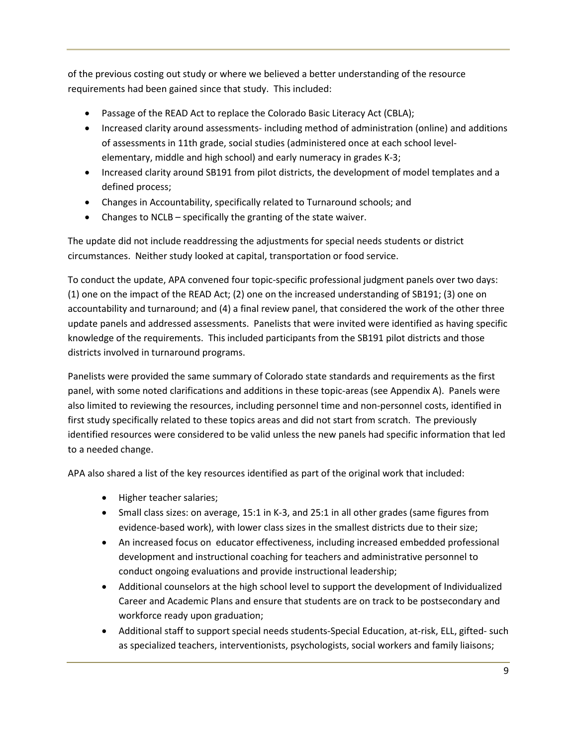of the previous costing out study or where we believed a better understanding of the resource requirements had been gained since that study. This included:

- Passage of the READ Act to replace the Colorado Basic Literacy Act (CBLA);
- Increased clarity around assessments- including method of administration (online) and additions of assessments in 11th grade, social studies (administered once at each school levelelementary, middle and high school) and early numeracy in grades K-3;
- Increased clarity around SB191 from pilot districts, the development of model templates and a defined process;
- Changes in Accountability, specifically related to Turnaround schools; and
- Changes to NCLB specifically the granting of the state waiver.

The update did not include readdressing the adjustments for special needs students or district circumstances. Neither study looked at capital, transportation or food service.

To conduct the update, APA convened four topic-specific professional judgment panels over two days: (1) one on the impact of the READ Act; (2) one on the increased understanding of SB191; (3) one on accountability and turnaround; and (4) a final review panel, that considered the work of the other three update panels and addressed assessments. Panelists that were invited were identified as having specific knowledge of the requirements. This included participants from the SB191 pilot districts and those districts involved in turnaround programs.

Panelists were provided the same summary of Colorado state standards and requirements as the first panel, with some noted clarifications and additions in these topic-areas (see Appendix A). Panels were also limited to reviewing the resources, including personnel time and non-personnel costs, identified in first study specifically related to these topics areas and did not start from scratch. The previously identified resources were considered to be valid unless the new panels had specific information that led to a needed change.

APA also shared a list of the key resources identified as part of the original work that included:

- Higher teacher salaries;
- Small class sizes: on average, 15:1 in K-3, and 25:1 in all other grades (same figures from evidence-based work), with lower class sizes in the smallest districts due to their size;
- An increased focus on educator effectiveness, including increased embedded professional development and instructional coaching for teachers and administrative personnel to conduct ongoing evaluations and provide instructional leadership;
- Additional counselors at the high school level to support the development of Individualized Career and Academic Plans and ensure that students are on track to be postsecondary and workforce ready upon graduation;
- Additional staff to support special needs students-Special Education, at-risk, ELL, gifted- such as specialized teachers, interventionists, psychologists, social workers and family liaisons;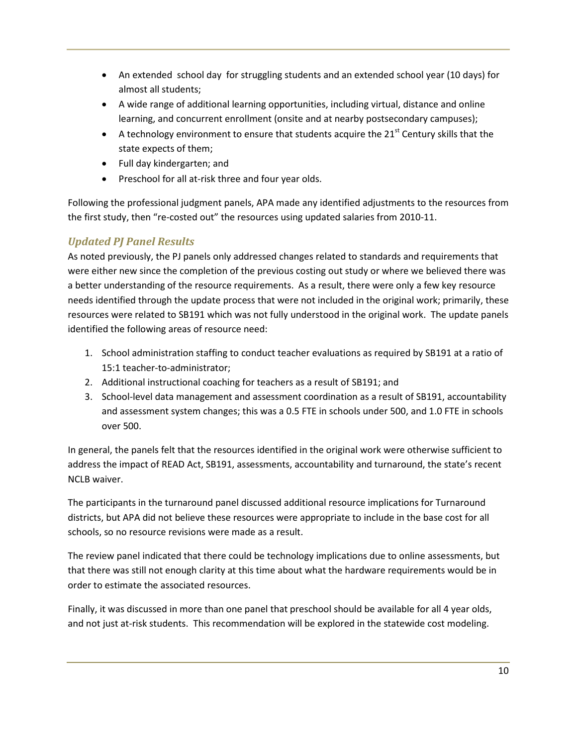- An extended school day for struggling students and an extended school year (10 days) for almost all students;
- A wide range of additional learning opportunities, including virtual, distance and online learning, and concurrent enrollment (onsite and at nearby postsecondary campuses);
- A technology environment to ensure that students acquire the  $21<sup>st</sup>$  Century skills that the state expects of them;
- Full day kindergarten; and
- Preschool for all at-risk three and four year olds.

Following the professional judgment panels, APA made any identified adjustments to the resources from the first study, then "re-costed out" the resources using updated salaries from 2010-11.

# *Updated PJ Panel Results*

As noted previously, the PJ panels only addressed changes related to standards and requirements that were either new since the completion of the previous costing out study or where we believed there was a better understanding of the resource requirements. As a result, there were only a few key resource needs identified through the update process that were not included in the original work; primarily, these resources were related to SB191 which was not fully understood in the original work. The update panels identified the following areas of resource need:

- 1. School administration staffing to conduct teacher evaluations as required by SB191 at a ratio of 15:1 teacher-to-administrator;
- 2. Additional instructional coaching for teachers as a result of SB191; and
- 3. School-level data management and assessment coordination as a result of SB191, accountability and assessment system changes; this was a 0.5 FTE in schools under 500, and 1.0 FTE in schools over 500.

In general, the panels felt that the resources identified in the original work were otherwise sufficient to address the impact of READ Act, SB191, assessments, accountability and turnaround, the state's recent NCLB waiver.

The participants in the turnaround panel discussed additional resource implications for Turnaround districts, but APA did not believe these resources were appropriate to include in the base cost for all schools, so no resource revisions were made as a result.

The review panel indicated that there could be technology implications due to online assessments, but that there was still not enough clarity at this time about what the hardware requirements would be in order to estimate the associated resources.

Finally, it was discussed in more than one panel that preschool should be available for all 4 year olds, and not just at-risk students. This recommendation will be explored in the statewide cost modeling.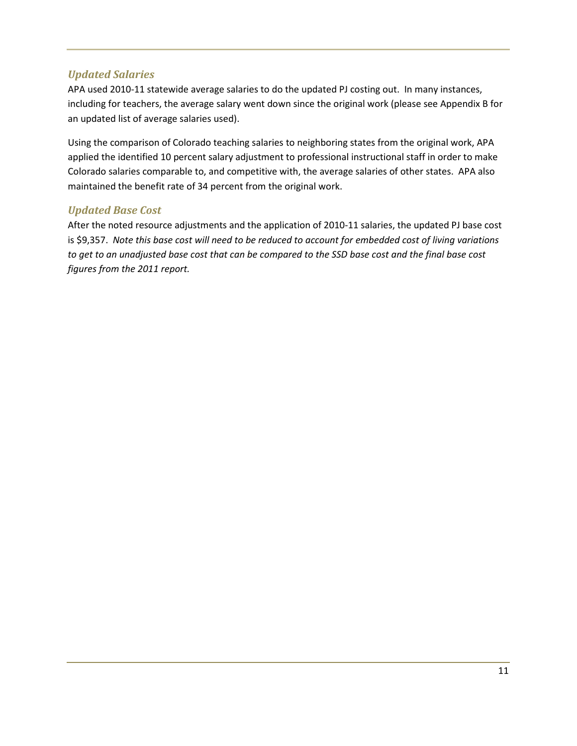## *Updated Salaries*

APA used 2010-11 statewide average salaries to do the updated PJ costing out. In many instances, including for teachers, the average salary went down since the original work (please see Appendix B for an updated list of average salaries used).

Using the comparison of Colorado teaching salaries to neighboring states from the original work, APA applied the identified 10 percent salary adjustment to professional instructional staff in order to make Colorado salaries comparable to, and competitive with, the average salaries of other states. APA also maintained the benefit rate of 34 percent from the original work.

# *Updated Base Cost*

After the noted resource adjustments and the application of 2010-11 salaries, the updated PJ base cost is \$9,357. *Note this base cost will need to be reduced to account for embedded cost of living variations to get to an unadjusted base cost that can be compared to the SSD base cost and the final base cost figures from the 2011 report.*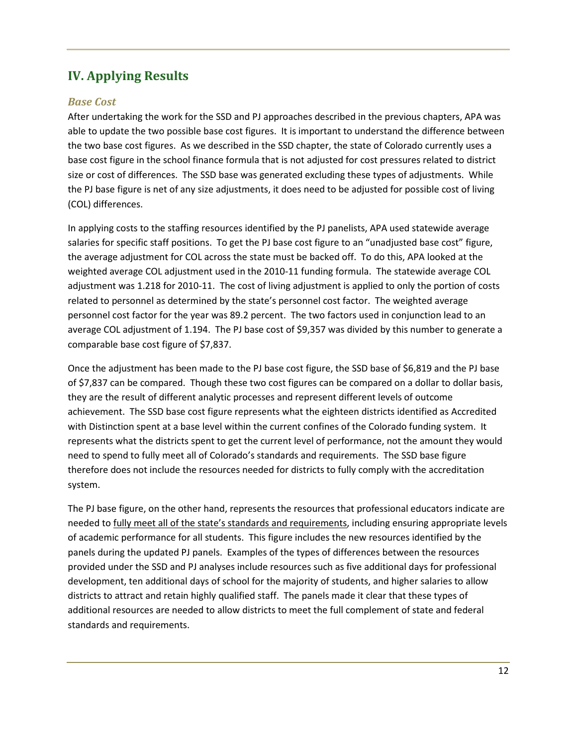# **IV. Applying Results**

## *Base Cost*

After undertaking the work for the SSD and PJ approaches described in the previous chapters, APA was able to update the two possible base cost figures. It is important to understand the difference between the two base cost figures. As we described in the SSD chapter, the state of Colorado currently uses a base cost figure in the school finance formula that is not adjusted for cost pressures related to district size or cost of differences. The SSD base was generated excluding these types of adjustments. While the PJ base figure is net of any size adjustments, it does need to be adjusted for possible cost of living (COL) differences.

In applying costs to the staffing resources identified by the PJ panelists, APA used statewide average salaries for specific staff positions. To get the PJ base cost figure to an "unadjusted base cost" figure, the average adjustment for COL across the state must be backed off. To do this, APA looked at the weighted average COL adjustment used in the 2010-11 funding formula. The statewide average COL adjustment was 1.218 for 2010-11. The cost of living adjustment is applied to only the portion of costs related to personnel as determined by the state's personnel cost factor. The weighted average personnel cost factor for the year was 89.2 percent. The two factors used in conjunction lead to an average COL adjustment of 1.194. The PJ base cost of \$9,357 was divided by this number to generate a comparable base cost figure of \$7,837.

Once the adjustment has been made to the PJ base cost figure, the SSD base of \$6,819 and the PJ base of \$7,837 can be compared. Though these two cost figures can be compared on a dollar to dollar basis, they are the result of different analytic processes and represent different levels of outcome achievement. The SSD base cost figure represents what the eighteen districts identified as Accredited with Distinction spent at a base level within the current confines of the Colorado funding system. It represents what the districts spent to get the current level of performance, not the amount they would need to spend to fully meet all of Colorado's standards and requirements. The SSD base figure therefore does not include the resources needed for districts to fully comply with the accreditation system.

The PJ base figure, on the other hand, represents the resources that professional educators indicate are needed to fully meet all of the state's standards and requirements, including ensuring appropriate levels of academic performance for all students. This figure includes the new resources identified by the panels during the updated PJ panels. Examples of the types of differences between the resources provided under the SSD and PJ analyses include resources such as five additional days for professional development, ten additional days of school for the majority of students, and higher salaries to allow districts to attract and retain highly qualified staff. The panels made it clear that these types of additional resources are needed to allow districts to meet the full complement of state and federal standards and requirements.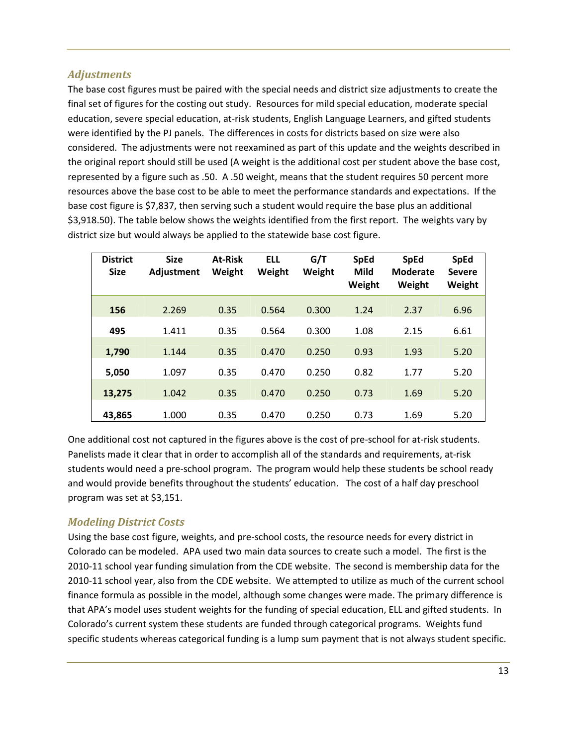### *Adjustments*

The base cost figures must be paired with the special needs and district size adjustments to create the final set of figures for the costing out study. Resources for mild special education, moderate special education, severe special education, at-risk students, English Language Learners, and gifted students were identified by the PJ panels. The differences in costs for districts based on size were also considered. The adjustments were not reexamined as part of this update and the weights described in the original report should still be used (A weight is the additional cost per student above the base cost, represented by a figure such as .50. A .50 weight, means that the student requires 50 percent more resources above the base cost to be able to meet the performance standards and expectations. If the base cost figure is \$7,837, then serving such a student would require the base plus an additional \$3,918.50). The table below shows the weights identified from the first report. The weights vary by district size but would always be applied to the statewide base cost figure.

| <b>District</b><br><b>Size</b> | <b>Size</b><br>Adjustment | <b>At-Risk</b><br>Weight | <b>ELL</b><br>Weight | G/T<br>Weight | <b>SpEd</b><br><b>Mild</b><br>Weight | <b>SpEd</b><br><b>Moderate</b><br>Weight | <b>SpEd</b><br><b>Severe</b><br>Weight |
|--------------------------------|---------------------------|--------------------------|----------------------|---------------|--------------------------------------|------------------------------------------|----------------------------------------|
| 156                            | 2.269                     | 0.35                     | 0.564                | 0.300         | 1.24                                 | 2.37                                     | 6.96                                   |
| 495                            | 1.411                     | 0.35                     | 0.564                | 0.300         | 1.08                                 | 2.15                                     | 6.61                                   |
| 1,790                          | 1.144                     | 0.35                     | 0.470                | 0.250         | 0.93                                 | 1.93                                     | 5.20                                   |
| 5,050                          | 1.097                     | 0.35                     | 0.470                | 0.250         | 0.82                                 | 1.77                                     | 5.20                                   |
| 13.275                         | 1.042                     | 0.35                     | 0.470                | 0.250         | 0.73                                 | 1.69                                     | 5.20                                   |
| 43.865                         | 1.000                     | 0.35                     | 0.470                | 0.250         | 0.73                                 | 1.69                                     | 5.20                                   |

One additional cost not captured in the figures above is the cost of pre-school for at-risk students. Panelists made it clear that in order to accomplish all of the standards and requirements, at-risk students would need a pre-school program. The program would help these students be school ready and would provide benefits throughout the students' education. The cost of a half day preschool program was set at \$3,151.

### *Modeling District Costs*

Using the base cost figure, weights, and pre-school costs, the resource needs for every district in Colorado can be modeled. APA used two main data sources to create such a model. The first is the 2010-11 school year funding simulation from the CDE website. The second is membership data for the 2010-11 school year, also from the CDE website. We attempted to utilize as much of the current school finance formula as possible in the model, although some changes were made. The primary difference is that APA's model uses student weights for the funding of special education, ELL and gifted students. In Colorado's current system these students are funded through categorical programs. Weights fund specific students whereas categorical funding is a lump sum payment that is not always student specific.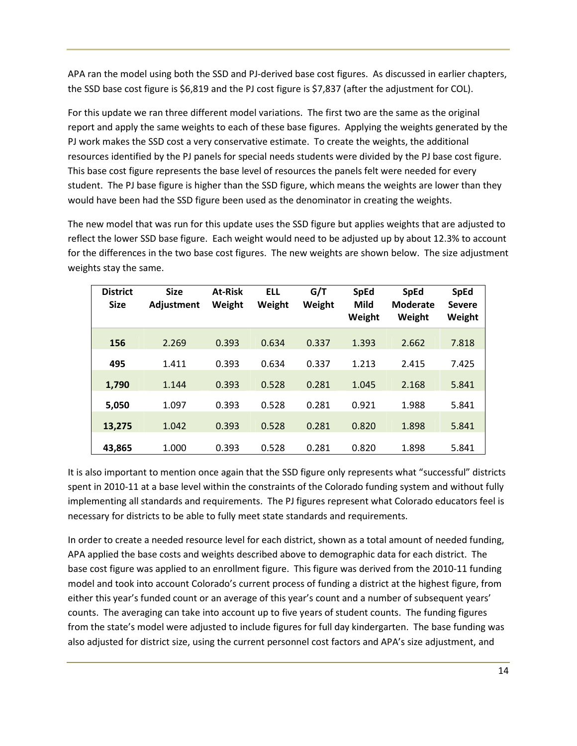APA ran the model using both the SSD and PJ-derived base cost figures. As discussed in earlier chapters, the SSD base cost figure is \$6,819 and the PJ cost figure is \$7,837 (after the adjustment for COL).

For this update we ran three different model variations. The first two are the same as the original report and apply the same weights to each of these base figures. Applying the weights generated by the PJ work makes the SSD cost a very conservative estimate. To create the weights, the additional resources identified by the PJ panels for special needs students were divided by the PJ base cost figure. This base cost figure represents the base level of resources the panels felt were needed for every student. The PJ base figure is higher than the SSD figure, which means the weights are lower than they would have been had the SSD figure been used as the denominator in creating the weights.

The new model that was run for this update uses the SSD figure but applies weights that are adjusted to reflect the lower SSD base figure. Each weight would need to be adjusted up by about 12.3% to account for the differences in the two base cost figures. The new weights are shown below. The size adjustment weights stay the same.

| <b>District</b><br><b>Size</b> | <b>Size</b><br>Adjustment | <b>At-Risk</b><br>Weight | <b>ELL</b><br>Weight | G/T<br>Weight | <b>SpEd</b><br>Mild<br>Weight | <b>SpEd</b><br><b>Moderate</b><br>Weight | <b>SpEd</b><br><b>Severe</b><br>Weight |
|--------------------------------|---------------------------|--------------------------|----------------------|---------------|-------------------------------|------------------------------------------|----------------------------------------|
| 156                            | 2.269                     | 0.393                    | 0.634                | 0.337         | 1.393                         | 2.662                                    | 7.818                                  |
| 495                            | 1.411                     | 0.393                    | 0.634                | 0.337         | 1.213                         | 2.415                                    | 7.425                                  |
| 1,790                          | 1.144                     | 0.393                    | 0.528                | 0.281         | 1.045                         | 2.168                                    | 5.841                                  |
| 5,050                          | 1.097                     | 0.393                    | 0.528                | 0.281         | 0.921                         | 1.988                                    | 5.841                                  |
| 13,275                         | 1.042                     | 0.393                    | 0.528                | 0.281         | 0.820                         | 1.898                                    | 5.841                                  |
| 43,865                         | 1.000                     | 0.393                    | 0.528                | 0.281         | 0.820                         | 1.898                                    | 5.841                                  |

It is also important to mention once again that the SSD figure only represents what "successful" districts spent in 2010-11 at a base level within the constraints of the Colorado funding system and without fully implementing all standards and requirements. The PJ figures represent what Colorado educators feel is necessary for districts to be able to fully meet state standards and requirements.

In order to create a needed resource level for each district, shown as a total amount of needed funding, APA applied the base costs and weights described above to demographic data for each district. The base cost figure was applied to an enrollment figure. This figure was derived from the 2010-11 funding model and took into account Colorado's current process of funding a district at the highest figure, from either this year's funded count or an average of this year's count and a number of subsequent years' counts. The averaging can take into account up to five years of student counts. The funding figures from the state's model were adjusted to include figures for full day kindergarten. The base funding was also adjusted for district size, using the current personnel cost factors and APA's size adjustment, and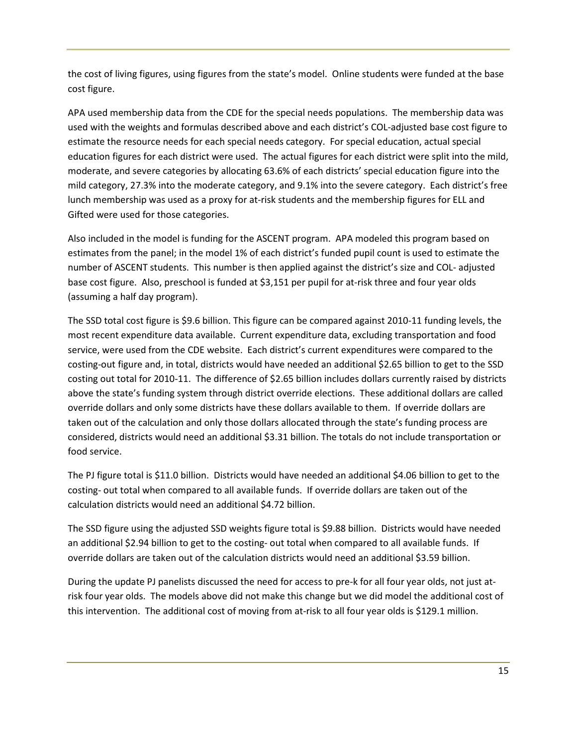the cost of living figures, using figures from the state's model. Online students were funded at the base cost figure.

APA used membership data from the CDE for the special needs populations. The membership data was used with the weights and formulas described above and each district's COL-adjusted base cost figure to estimate the resource needs for each special needs category. For special education, actual special education figures for each district were used. The actual figures for each district were split into the mild, moderate, and severe categories by allocating 63.6% of each districts' special education figure into the mild category, 27.3% into the moderate category, and 9.1% into the severe category. Each district's free lunch membership was used as a proxy for at-risk students and the membership figures for ELL and Gifted were used for those categories.

Also included in the model is funding for the ASCENT program. APA modeled this program based on estimates from the panel; in the model 1% of each district's funded pupil count is used to estimate the number of ASCENT students. This number is then applied against the district's size and COL- adjusted base cost figure. Also, preschool is funded at \$3,151 per pupil for at-risk three and four year olds (assuming a half day program).

The SSD total cost figure is \$9.6 billion. This figure can be compared against 2010-11 funding levels, the most recent expenditure data available. Current expenditure data, excluding transportation and food service, were used from the CDE website. Each district's current expenditures were compared to the costing-out figure and, in total, districts would have needed an additional \$2.65 billion to get to the SSD costing out total for 2010-11. The difference of \$2.65 billion includes dollars currently raised by districts above the state's funding system through district override elections. These additional dollars are called override dollars and only some districts have these dollars available to them. If override dollars are taken out of the calculation and only those dollars allocated through the state's funding process are considered, districts would need an additional \$3.31 billion. The totals do not include transportation or food service.

The PJ figure total is \$11.0 billion. Districts would have needed an additional \$4.06 billion to get to the costing- out total when compared to all available funds. If override dollars are taken out of the calculation districts would need an additional \$4.72 billion.

The SSD figure using the adjusted SSD weights figure total is \$9.88 billion. Districts would have needed an additional \$2.94 billion to get to the costing- out total when compared to all available funds. If override dollars are taken out of the calculation districts would need an additional \$3.59 billion.

During the update PJ panelists discussed the need for access to pre-k for all four year olds, not just atrisk four year olds. The models above did not make this change but we did model the additional cost of this intervention. The additional cost of moving from at-risk to all four year olds is \$129.1 million.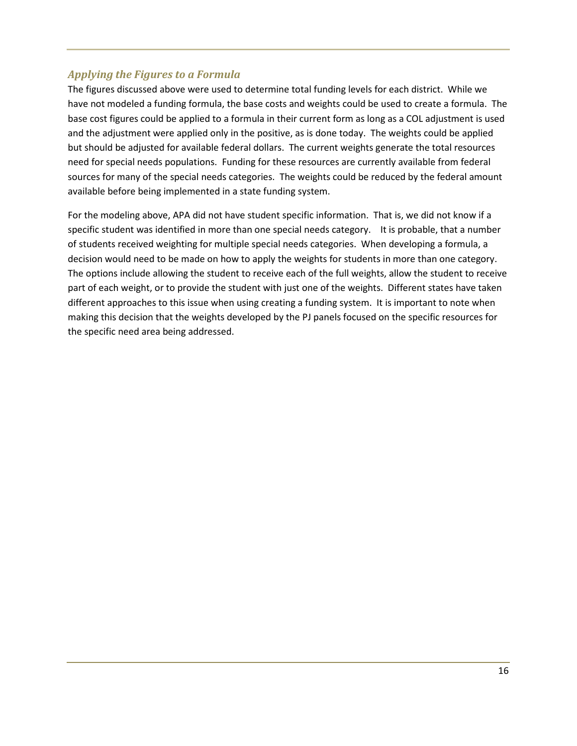# *Applying the Figures to a Formula*

The figures discussed above were used to determine total funding levels for each district. While we have not modeled a funding formula, the base costs and weights could be used to create a formula. The base cost figures could be applied to a formula in their current form as long as a COL adjustment is used and the adjustment were applied only in the positive, as is done today. The weights could be applied but should be adjusted for available federal dollars. The current weights generate the total resources need for special needs populations. Funding for these resources are currently available from federal sources for many of the special needs categories. The weights could be reduced by the federal amount available before being implemented in a state funding system.

For the modeling above, APA did not have student specific information. That is, we did not know if a specific student was identified in more than one special needs category. It is probable, that a number of students received weighting for multiple special needs categories. When developing a formula, a decision would need to be made on how to apply the weights for students in more than one category. The options include allowing the student to receive each of the full weights, allow the student to receive part of each weight, or to provide the student with just one of the weights. Different states have taken different approaches to this issue when using creating a funding system. It is important to note when making this decision that the weights developed by the PJ panels focused on the specific resources for the specific need area being addressed.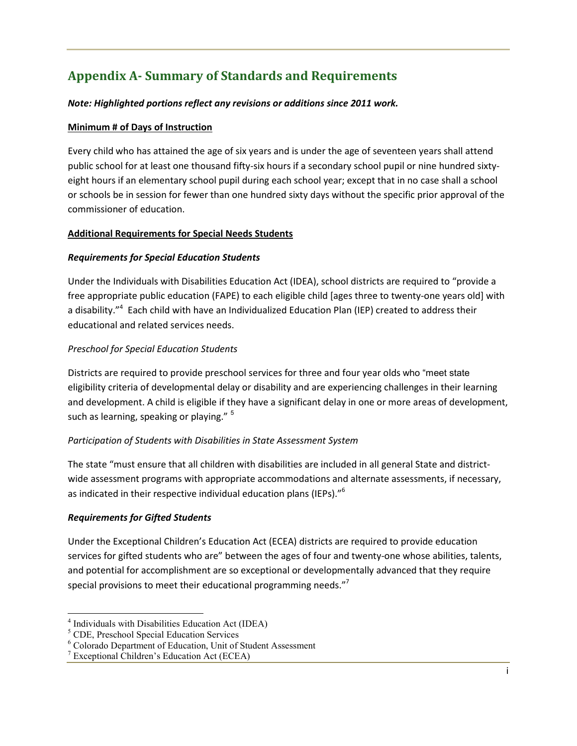# **Appendix A- Summary of Standards and Requirements**

#### *Note: Highlighted portions reflect any revisions or additions since 2011 work.*

#### **Minimum # of Days of Instruction**

Every child who has attained the age of six years and is under the age of seventeen years shall attend public school for at least one thousand fifty-six hours if a secondary school pupil or nine hundred sixtyeight hours if an elementary school pupil during each school year; except that in no case shall a school or schools be in session for fewer than one hundred sixty days without the specific prior approval of the commissioner of education.

#### **Additional Requirements for Special Needs Students**

#### *Requirements for Special Education Students*

Under the Individuals with Disabilities Education Act (IDEA), school districts are required to "provide a free appropriate public education (FAPE) to each eligible child [ages three to twenty-one years old] with a disability."<sup>4</sup> Each child with have an Individualized Education Plan (IEP) created to address their educational and related services needs.

#### *Preschool for Special Education Students*

Districts are required to provide preschool services for three and four year olds who "meet state eligibility criteria of developmental delay or disability and are experiencing challenges in their learning and development. A child is eligible if they have a significant delay in one or more areas of development, such as learning, speaking or playing." <sup>5</sup>

#### *Participation of Students with Disabilities in State Assessment System*

The state "must ensure that all children with disabilities are included in all general State and districtwide assessment programs with appropriate accommodations and alternate assessments, if necessary, as indicated in their respective individual education plans (IEPs)."<sup>6</sup>

#### *Requirements for Gifted Students*

Under the Exceptional Children's Education Act (ECEA) districts are required to provide education services for gifted students who are" between the ages of four and twenty-one whose abilities, talents, and potential for accomplishment are so exceptional or developmentally advanced that they require special provisions to meet their educational programming needs."<sup>7</sup>

 $\overline{a}$ 

<sup>4</sup> Individuals with Disabilities Education Act (IDEA)

<sup>5</sup> CDE, Preschool Special Education Services

<sup>6</sup> Colorado Department of Education, Unit of Student Assessment

<sup>7</sup> Exceptional Children's Education Act (ECEA)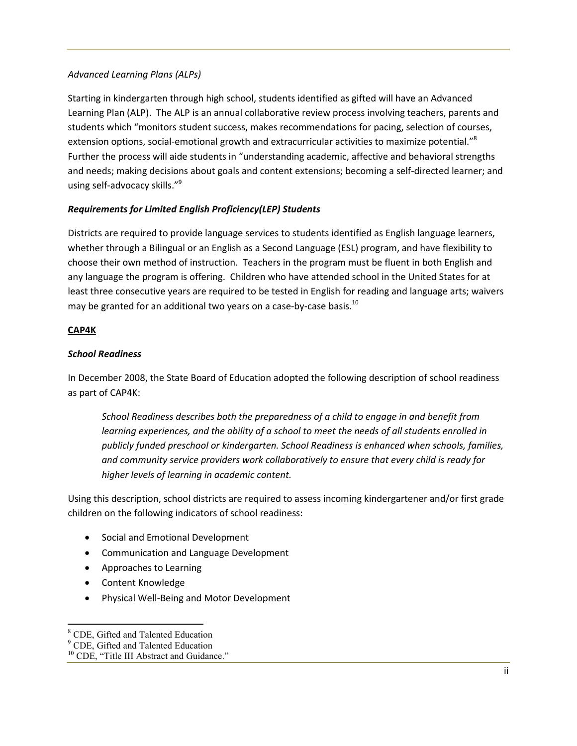#### *Advanced Learning Plans (ALPs)*

Starting in kindergarten through high school, students identified as gifted will have an Advanced Learning Plan (ALP). The ALP is an annual collaborative review process involving teachers, parents and students which "monitors student success, makes recommendations for pacing, selection of courses, extension options, social-emotional growth and extracurricular activities to maximize potential."<sup>8</sup> Further the process will aide students in "understanding academic, affective and behavioral strengths and needs; making decisions about goals and content extensions; becoming a self-directed learner; and using self-advocacy skills."<sup>9</sup>

#### *Requirements for Limited English Proficiency(LEP) Students*

Districts are required to provide language services to students identified as English language learners, whether through a Bilingual or an English as a Second Language (ESL) program, and have flexibility to choose their own method of instruction. Teachers in the program must be fluent in both English and any language the program is offering. Children who have attended school in the United States for at least three consecutive years are required to be tested in English for reading and language arts; waivers may be granted for an additional two years on a case-by-case basis. $^{10}$ 

#### **CAP4K**

l

#### *School Readiness*

In December 2008, the State Board of Education adopted the following description of school readiness as part of CAP4K:

*School Readiness describes both the preparedness of a child to engage in and benefit from learning experiences, and the ability of a school to meet the needs of all students enrolled in publicly funded preschool or kindergarten. School Readiness is enhanced when schools, families, and community service providers work collaboratively to ensure that every child is ready for higher levels of learning in academic content.* 

Using this description, school districts are required to assess incoming kindergartener and/or first grade children on the following indicators of school readiness:

- Social and Emotional Development
- Communication and Language Development
- Approaches to Learning
- Content Knowledge
- Physical Well-Being and Motor Development

<sup>8</sup> CDE, Gifted and Talented Education

<sup>&</sup>lt;sup>9</sup> CDE, Gifted and Talented Education

<sup>&</sup>lt;sup>10</sup> CDE, "Title III Abstract and Guidance."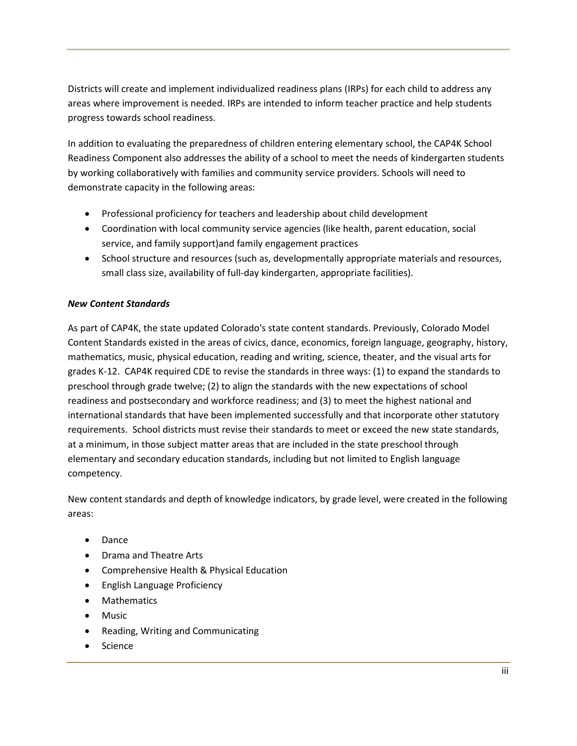Districts will create and implement individualized readiness plans (IRPs) for each child to address any areas where improvement is needed. IRPs are intended to inform teacher practice and help students progress towards school readiness.

In addition to evaluating the preparedness of children entering elementary school, the CAP4K School Readiness Component also addresses the ability of a school to meet the needs of kindergarten students by working collaboratively with families and community service providers. Schools will need to demonstrate capacity in the following areas:

- Professional proficiency for teachers and leadership about child development
- Coordination with local community service agencies (like health, parent education, social service, and family support)and family engagement practices
- School structure and resources (such as, developmentally appropriate materials and resources, small class size, availability of full-day kindergarten, appropriate facilities).

#### *New Content Standards*

As part of CAP4K, the state updated Colorado's state content standards. Previously, Colorado Model Content Standards existed in the areas of civics, dance, economics, foreign language, geography, history, mathematics, music, physical education, reading and writing, science, theater, and the visual arts for grades K-12. CAP4K required CDE to revise the standards in three ways: (1) to expand the standards to preschool through grade twelve; (2) to align the standards with the new expectations of school readiness and postsecondary and workforce readiness; and (3) to meet the highest national and international standards that have been implemented successfully and that incorporate other statutory requirements. School districts must revise their standards to meet or exceed the new state standards, at a minimum, in those subject matter areas that are included in the state preschool through elementary and secondary education standards, including but not limited to English language competency.

New content standards and depth of knowledge indicators, by grade level, were created in the following areas:

- Dance
- Drama and Theatre Arts
- Comprehensive Health & Physical Education
- English Language Proficiency
- Mathematics
- Music
- Reading, Writing and Communicating
- Science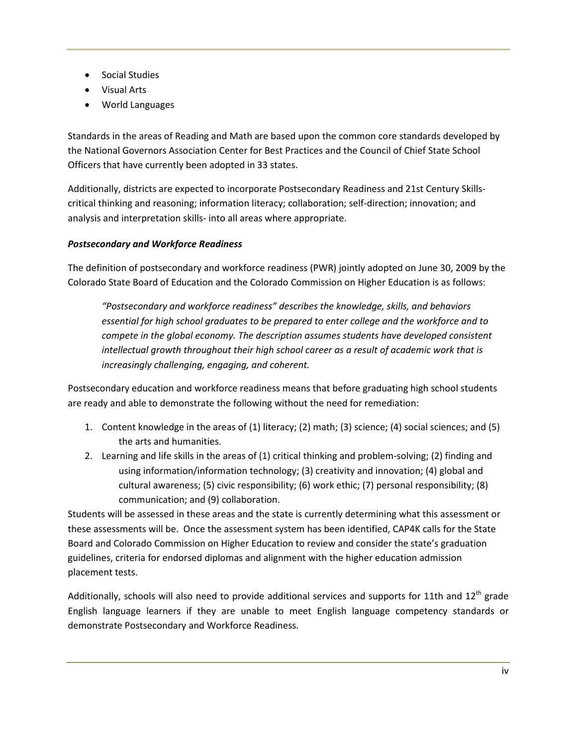- Social Studies
- Visual Arts
- World Languages

Standards in the areas of Reading and Math are based upon the common core standards developed by the National Governors Association Center for Best Practices and the Council of Chief State School Officers that have currently been adopted in 33 states.

Additionally, districts are expected to incorporate Postsecondary Readiness and 21st Century Skillscritical thinking and reasoning; information literacy; collaboration; self-direction; innovation; and analysis and interpretation skills- into all areas where appropriate.

#### *Postsecondary and Workforce Readiness*

The definition of postsecondary and workforce readiness (PWR) jointly adopted on June 30, 2009 by the Colorado State Board of Education and the Colorado Commission on Higher Education is as follows:

*"Postsecondary and workforce readiness" describes the knowledge, skills, and behaviors essential for high school graduates to be prepared to enter college and the workforce and to compete in the global economy. The description assumes students have developed consistent intellectual growth throughout their high school career as a result of academic work that is increasingly challenging, engaging, and coherent.* 

Postsecondary education and workforce readiness means that before graduating high school students are ready and able to demonstrate the following without the need for remediation:

- 1. Content knowledge in the areas of (1) literacy; (2) math; (3) science; (4) social sciences; and (5) the arts and humanities.
- 2. Learning and life skills in the areas of (1) critical thinking and problem-solving; (2) finding and using information/information technology; (3) creativity and innovation; (4) global and cultural awareness; (5) civic responsibility; (6) work ethic; (7) personal responsibility; (8) communication; and (9) collaboration.

Students will be assessed in these areas and the state is currently determining what this assessment or these assessments will be. Once the assessment system has been identified, CAP4K calls for the State Board and Colorado Commission on Higher Education to review and consider the state's graduation guidelines, criteria for endorsed diplomas and alignment with the higher education admission placement tests.

Additionally, schools will also need to provide additional services and supports for 11th and  $12^{th}$  grade English language learners if they are unable to meet English language competency standards or demonstrate Postsecondary and Workforce Readiness.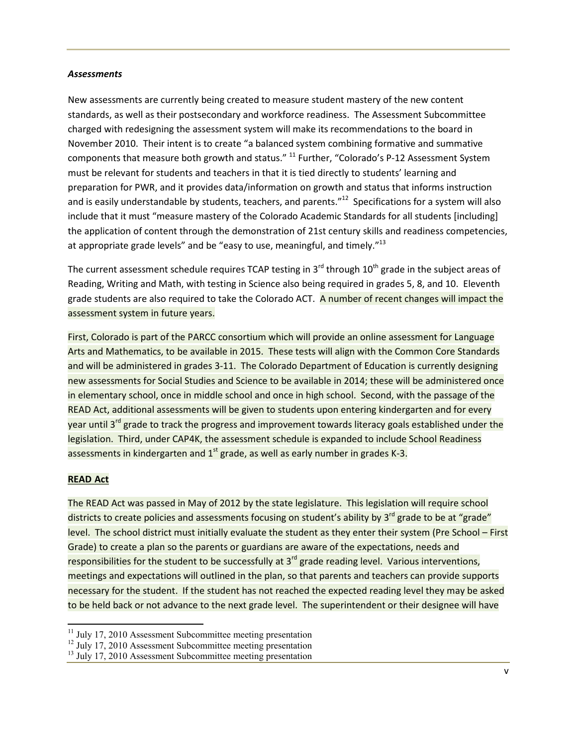#### *Assessments*

New assessments are currently being created to measure student mastery of the new content standards, as well as their postsecondary and workforce readiness. The Assessment Subcommittee charged with redesigning the assessment system will make its recommendations to the board in November 2010. Their intent is to create "a balanced system combining formative and summative components that measure both growth and status." <sup>11</sup> Further, "Colorado's P-12 Assessment System must be relevant for students and teachers in that it is tied directly to students' learning and preparation for PWR, and it provides data/information on growth and status that informs instruction and is easily understandable by students, teachers, and parents."<sup>12</sup> Specifications for a system will also include that it must "measure mastery of the Colorado Academic Standards for all students [including] the application of content through the demonstration of 21st century skills and readiness competencies, at appropriate grade levels" and be "easy to use, meaningful, and timely." $^{13}$ 

The current assessment schedule requires TCAP testing in  $3^{rd}$  through  $10^{th}$  grade in the subject areas of Reading, Writing and Math, with testing in Science also being required in grades 5, 8, and 10. Eleventh grade students are also required to take the Colorado ACT. A number of recent changes will impact the assessment system in future years.

First, Colorado is part of the PARCC consortium which will provide an online assessment for Language Arts and Mathematics, to be available in 2015. These tests will align with the Common Core Standards and will be administered in grades 3-11. The Colorado Department of Education is currently designing new assessments for Social Studies and Science to be available in 2014; these will be administered once in elementary school, once in middle school and once in high school. Second, with the passage of the READ Act, additional assessments will be given to students upon entering kindergarten and for every year until 3<sup>rd</sup> grade to track the progress and improvement towards literacy goals established under the legislation. Third, under CAP4K, the assessment schedule is expanded to include School Readiness assessments in kindergarten and  $1<sup>st</sup>$  grade, as well as early number in grades K-3.

#### **READ Act**

-

The READ Act was passed in May of 2012 by the state legislature. This legislation will require school districts to create policies and assessments focusing on student's ability by 3<sup>rd</sup> grade to be at "grade" level. The school district must initially evaluate the student as they enter their system (Pre School – First Grade) to create a plan so the parents or guardians are aware of the expectations, needs and responsibilities for the student to be successfully at  $3<sup>rd</sup>$  grade reading level. Various interventions, meetings and expectations will outlined in the plan, so that parents and teachers can provide supports necessary for the student. If the student has not reached the expected reading level they may be asked to be held back or not advance to the next grade level. The superintendent or their designee will have

 $11$  July 17, 2010 Assessment Subcommittee meeting presentation

<sup>&</sup>lt;sup>12</sup> July 17, 2010 Assessment Subcommittee meeting presentation

<sup>&</sup>lt;sup>13</sup> July 17, 2010 Assessment Subcommittee meeting presentation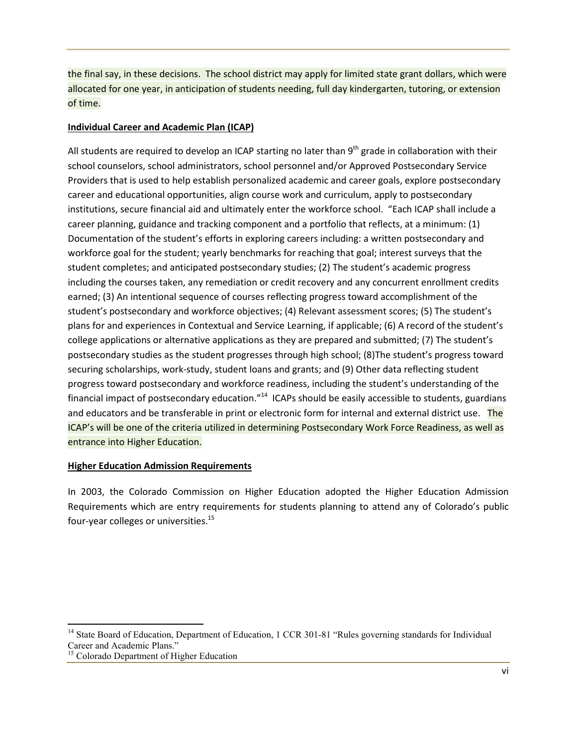the final say, in these decisions. The school district may apply for limited state grant dollars, which were allocated for one year, in anticipation of students needing, full day kindergarten, tutoring, or extension of time.

#### **Individual Career and Academic Plan (ICAP)**

All students are required to develop an ICAP starting no later than 9<sup>th</sup> grade in collaboration with their school counselors, school administrators, school personnel and/or Approved Postsecondary Service Providers that is used to help establish personalized academic and career goals, explore postsecondary career and educational opportunities, align course work and curriculum, apply to postsecondary institutions, secure financial aid and ultimately enter the workforce school. "Each ICAP shall include a career planning, guidance and tracking component and a portfolio that reflects, at a minimum: (1) Documentation of the student's efforts in exploring careers including: a written postsecondary and workforce goal for the student; yearly benchmarks for reaching that goal; interest surveys that the student completes; and anticipated postsecondary studies; (2) The student's academic progress including the courses taken, any remediation or credit recovery and any concurrent enrollment credits earned; (3) An intentional sequence of courses reflecting progress toward accomplishment of the student's postsecondary and workforce objectives; (4) Relevant assessment scores; (5) The student's plans for and experiences in Contextual and Service Learning, if applicable; (6) A record of the student's college applications or alternative applications as they are prepared and submitted; (7) The student's postsecondary studies as the student progresses through high school; (8)The student's progress toward securing scholarships, work-study, student loans and grants; and (9) Other data reflecting student progress toward postsecondary and workforce readiness, including the student's understanding of the financial impact of postsecondary education."<sup>14</sup> ICAPs should be easily accessible to students, guardians and educators and be transferable in print or electronic form for internal and external district use. The ICAP's will be one of the criteria utilized in determining Postsecondary Work Force Readiness, as well as entrance into Higher Education.

#### **Higher Education Admission Requirements**

In 2003, the Colorado Commission on Higher Education adopted the Higher Education Admission Requirements which are entry requirements for students planning to attend any of Colorado's public four-year colleges or universities.<sup>15</sup>

l

<sup>&</sup>lt;sup>14</sup> State Board of Education, Department of Education, 1 CCR 301-81 "Rules governing standards for Individual Career and Academic Plans."

<sup>15</sup> Colorado Department of Higher Education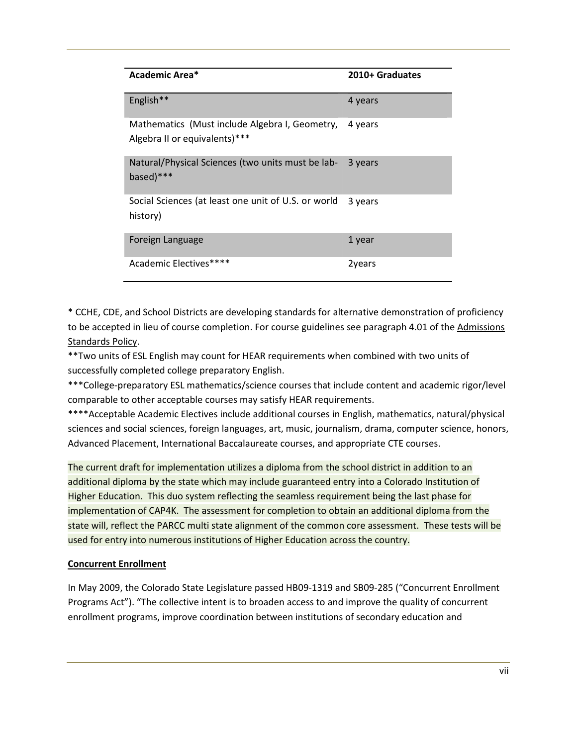| Academic Area*                                                                  | 2010+ Graduates |
|---------------------------------------------------------------------------------|-----------------|
| English**                                                                       | 4 years         |
| Mathematics (Must include Algebra I, Geometry,<br>Algebra II or equivalents)*** | 4 years         |
| Natural/Physical Sciences (two units must be lab-<br>based)***                  | 3 years         |
| Social Sciences (at least one unit of U.S. or world<br>history)                 | 3 years         |
| Foreign Language                                                                | 1 year          |
| Academic Electives****                                                          | 2years          |

\* CCHE, CDE, and School Districts are developing standards for alternative demonstration of proficiency to be accepted in lieu of course completion. For course guidelines see paragraph 4.01 of the Admissions Standards Policy.

\*\*Two units of ESL English may count for HEAR requirements when combined with two units of successfully completed college preparatory English.

\*\*\*College-preparatory ESL mathematics/science courses that include content and academic rigor/level comparable to other acceptable courses may satisfy HEAR requirements.

\*\*\*\*Acceptable Academic Electives include additional courses in English, mathematics, natural/physical sciences and social sciences, foreign languages, art, music, journalism, drama, computer science, honors, Advanced Placement, International Baccalaureate courses, and appropriate CTE courses.

The current draft for implementation utilizes a diploma from the school district in addition to an additional diploma by the state which may include guaranteed entry into a Colorado Institution of Higher Education. This duo system reflecting the seamless requirement being the last phase for implementation of CAP4K. The assessment for completion to obtain an additional diploma from the state will, reflect the PARCC multi state alignment of the common core assessment. These tests will be used for entry into numerous institutions of Higher Education across the country.

#### **Concurrent Enrollment**

In May 2009, the Colorado State Legislature passed HB09-1319 and SB09-285 ("Concurrent Enrollment Programs Act"). "The collective intent is to broaden access to and improve the quality of concurrent enrollment programs, improve coordination between institutions of secondary education and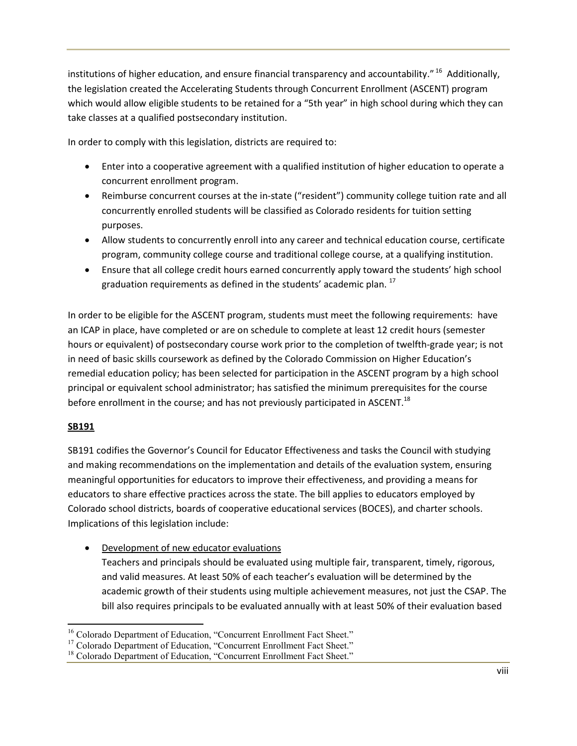institutions of higher education, and ensure financial transparency and accountability." <sup>16</sup> Additionally, the legislation created the Accelerating Students through Concurrent Enrollment (ASCENT) program which would allow eligible students to be retained for a "5th year" in high school during which they can take classes at a qualified postsecondary institution.

In order to comply with this legislation, districts are required to:

- Enter into a cooperative agreement with a qualified institution of higher education to operate a concurrent enrollment program.
- Reimburse concurrent courses at the in-state ("resident") community college tuition rate and all concurrently enrolled students will be classified as Colorado residents for tuition setting purposes.
- Allow students to concurrently enroll into any career and technical education course, certificate program, community college course and traditional college course, at a qualifying institution.
- Ensure that all college credit hours earned concurrently apply toward the students' high school graduation requirements as defined in the students' academic plan. <sup>17</sup>

In order to be eligible for the ASCENT program, students must meet the following requirements: have an ICAP in place, have completed or are on schedule to complete at least 12 credit hours (semester hours or equivalent) of postsecondary course work prior to the completion of twelfth-grade year; is not in need of basic skills coursework as defined by the Colorado Commission on Higher Education's remedial education policy; has been selected for participation in the ASCENT program by a high school principal or equivalent school administrator; has satisfied the minimum prerequisites for the course before enrollment in the course; and has not previously participated in ASCENT.<sup>18</sup>

#### **SB191**

-

SB191 codifies the Governor's Council for Educator Effectiveness and tasks the Council with studying and making recommendations on the implementation and details of the evaluation system, ensuring meaningful opportunities for educators to improve their effectiveness, and providing a means for educators to share effective practices across the state. The bill applies to educators employed by Colorado school districts, boards of cooperative educational services (BOCES), and charter schools. Implications of this legislation include:

• Development of new educator evaluations

Teachers and principals should be evaluated using multiple fair, transparent, timely, rigorous, and valid measures. At least 50% of each teacher's evaluation will be determined by the academic growth of their students using multiple achievement measures, not just the CSAP. The bill also requires principals to be evaluated annually with at least 50% of their evaluation based

<sup>&</sup>lt;sup>16</sup> Colorado Department of Education, "Concurrent Enrollment Fact Sheet."

<sup>&</sup>lt;sup>17</sup> Colorado Department of Education, "Concurrent Enrollment Fact Sheet."

<sup>&</sup>lt;sup>18</sup> Colorado Department of Education, "Concurrent Enrollment Fact Sheet."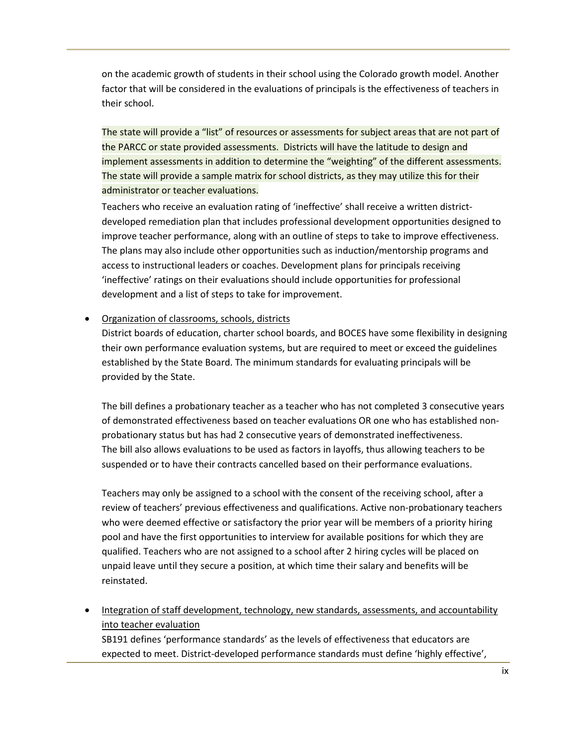on the academic growth of students in their school using the Colorado growth model. Another factor that will be considered in the evaluations of principals is the effectiveness of teachers in their school.

The state will provide a "list" of resources or assessments for subject areas that are not part of the PARCC or state provided assessments. Districts will have the latitude to design and implement assessments in addition to determine the "weighting" of the different assessments. The state will provide a sample matrix for school districts, as they may utilize this for their administrator or teacher evaluations.

Teachers who receive an evaluation rating of 'ineffective' shall receive a written districtdeveloped remediation plan that includes professional development opportunities designed to improve teacher performance, along with an outline of steps to take to improve effectiveness. The plans may also include other opportunities such as induction/mentorship programs and access to instructional leaders or coaches. Development plans for principals receiving 'ineffective' ratings on their evaluations should include opportunities for professional development and a list of steps to take for improvement.

#### • Organization of classrooms, schools, districts

District boards of education, charter school boards, and BOCES have some flexibility in designing their own performance evaluation systems, but are required to meet or exceed the guidelines established by the State Board. The minimum standards for evaluating principals will be provided by the State.

The bill defines a probationary teacher as a teacher who has not completed 3 consecutive years of demonstrated effectiveness based on teacher evaluations OR one who has established nonprobationary status but has had 2 consecutive years of demonstrated ineffectiveness. The bill also allows evaluations to be used as factors in layoffs, thus allowing teachers to be suspended or to have their contracts cancelled based on their performance evaluations.

Teachers may only be assigned to a school with the consent of the receiving school, after a review of teachers' previous effectiveness and qualifications. Active non-probationary teachers who were deemed effective or satisfactory the prior year will be members of a priority hiring pool and have the first opportunities to interview for available positions for which they are qualified. Teachers who are not assigned to a school after 2 hiring cycles will be placed on unpaid leave until they secure a position, at which time their salary and benefits will be reinstated.

• Integration of staff development, technology, new standards, assessments, and accountability into teacher evaluation

SB191 defines 'performance standards' as the levels of effectiveness that educators are expected to meet. District-developed performance standards must define 'highly effective',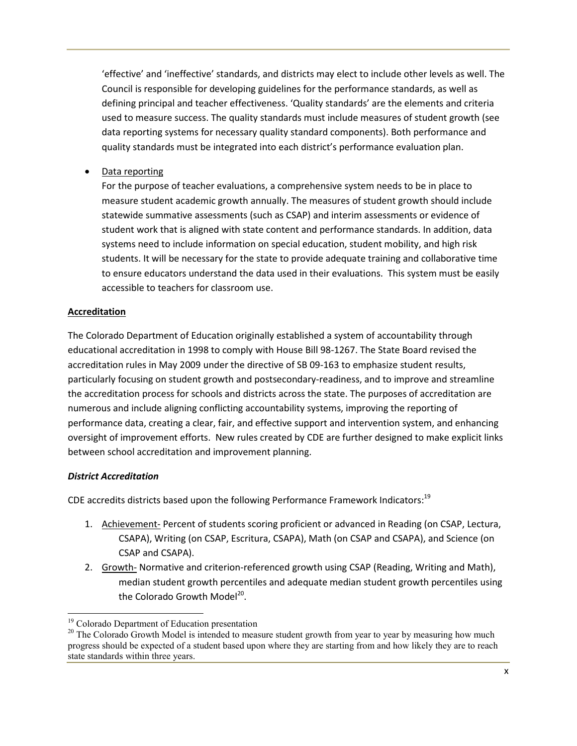'effective' and 'ineffective' standards, and districts may elect to include other levels as well. The Council is responsible for developing guidelines for the performance standards, as well as defining principal and teacher effectiveness. 'Quality standards' are the elements and criteria used to measure success. The quality standards must include measures of student growth (see data reporting systems for necessary quality standard components). Both performance and quality standards must be integrated into each district's performance evaluation plan.

• Data reporting

For the purpose of teacher evaluations, a comprehensive system needs to be in place to measure student academic growth annually. The measures of student growth should include statewide summative assessments (such as CSAP) and interim assessments or evidence of student work that is aligned with state content and performance standards. In addition, data systems need to include information on special education, student mobility, and high risk students. It will be necessary for the state to provide adequate training and collaborative time to ensure educators understand the data used in their evaluations. This system must be easily accessible to teachers for classroom use.

#### **Accreditation**

The Colorado Department of Education originally established a system of accountability through educational accreditation in 1998 to comply with House Bill 98-1267. The State Board revised the accreditation rules in May 2009 under the directive of SB 09-163 to emphasize student results, particularly focusing on student growth and postsecondary-readiness, and to improve and streamline the accreditation process for schools and districts across the state. The purposes of accreditation are numerous and include aligning conflicting accountability systems, improving the reporting of performance data, creating a clear, fair, and effective support and intervention system, and enhancing oversight of improvement efforts. New rules created by CDE are further designed to make explicit links between school accreditation and improvement planning.

### *District Accreditation*

 $\overline{a}$ 

CDE accredits districts based upon the following Performance Framework Indicators:<sup>19</sup>

- 1. Achievement- Percent of students scoring proficient or advanced in Reading (on CSAP, Lectura, CSAPA), Writing (on CSAP, Escritura, CSAPA), Math (on CSAP and CSAPA), and Science (on CSAP and CSAPA).
- 2. Growth- Normative and criterion-referenced growth using CSAP (Reading, Writing and Math), median student growth percentiles and adequate median student growth percentiles using the Colorado Growth Model<sup>20</sup>.

<sup>&</sup>lt;sup>19</sup> Colorado Department of Education presentation

<sup>&</sup>lt;sup>20</sup> The Colorado Growth Model is intended to measure student growth from year to year by measuring how much progress should be expected of a student based upon where they are starting from and how likely they are to reach state standards within three years.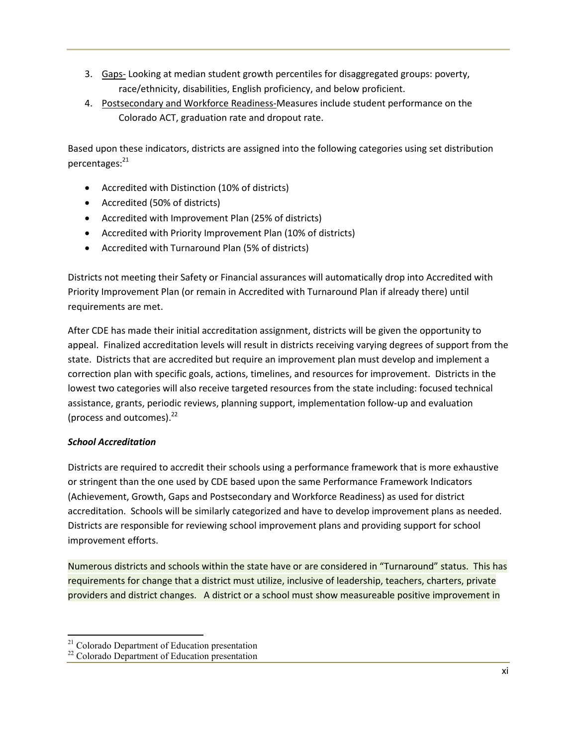- 3. Gaps- Looking at median student growth percentiles for disaggregated groups: poverty, race/ethnicity, disabilities, English proficiency, and below proficient.
- 4. Postsecondary and Workforce Readiness-Measures include student performance on the Colorado ACT, graduation rate and dropout rate.

Based upon these indicators, districts are assigned into the following categories using set distribution percentages: $^{21}$ 

- Accredited with Distinction (10% of districts)
- Accredited (50% of districts)
- Accredited with Improvement Plan (25% of districts)
- Accredited with Priority Improvement Plan (10% of districts)
- Accredited with Turnaround Plan (5% of districts)

Districts not meeting their Safety or Financial assurances will automatically drop into Accredited with Priority Improvement Plan (or remain in Accredited with Turnaround Plan if already there) until requirements are met.

After CDE has made their initial accreditation assignment, districts will be given the opportunity to appeal. Finalized accreditation levels will result in districts receiving varying degrees of support from the state. Districts that are accredited but require an improvement plan must develop and implement a correction plan with specific goals, actions, timelines, and resources for improvement. Districts in the lowest two categories will also receive targeted resources from the state including: focused technical assistance, grants, periodic reviews, planning support, implementation follow-up and evaluation (process and outcomes).<sup>22</sup>

### *School Accreditation*

-

Districts are required to accredit their schools using a performance framework that is more exhaustive or stringent than the one used by CDE based upon the same Performance Framework Indicators (Achievement, Growth, Gaps and Postsecondary and Workforce Readiness) as used for district accreditation. Schools will be similarly categorized and have to develop improvement plans as needed. Districts are responsible for reviewing school improvement plans and providing support for school improvement efforts.

Numerous districts and schools within the state have or are considered in "Turnaround" status. This has requirements for change that a district must utilize, inclusive of leadership, teachers, charters, private providers and district changes. A district or a school must show measureable positive improvement in

<sup>&</sup>lt;sup>21</sup> Colorado Department of Education presentation

<sup>&</sup>lt;sup>22</sup> Colorado Department of Education presentation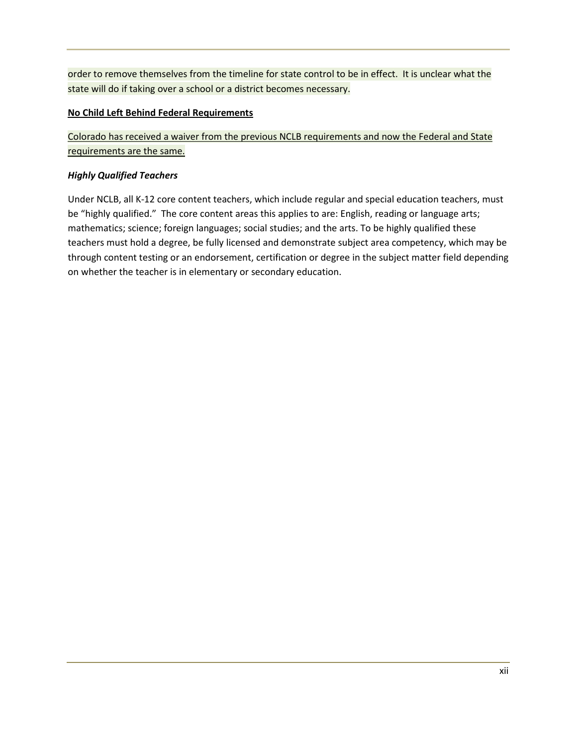order to remove themselves from the timeline for state control to be in effect. It is unclear what the state will do if taking over a school or a district becomes necessary.

#### **No Child Left Behind Federal Requirements**

Colorado has received a waiver from the previous NCLB requirements and now the Federal and State requirements are the same.

#### *Highly Qualified Teachers*

Under NCLB, all K-12 core content teachers, which include regular and special education teachers, must be "highly qualified." The core content areas this applies to are: English, reading or language arts; mathematics; science; foreign languages; social studies; and the arts. To be highly qualified these teachers must hold a degree, be fully licensed and demonstrate subject area competency, which may be through content testing or an endorsement, certification or degree in the subject matter field depending on whether the teacher is in elementary or secondary education.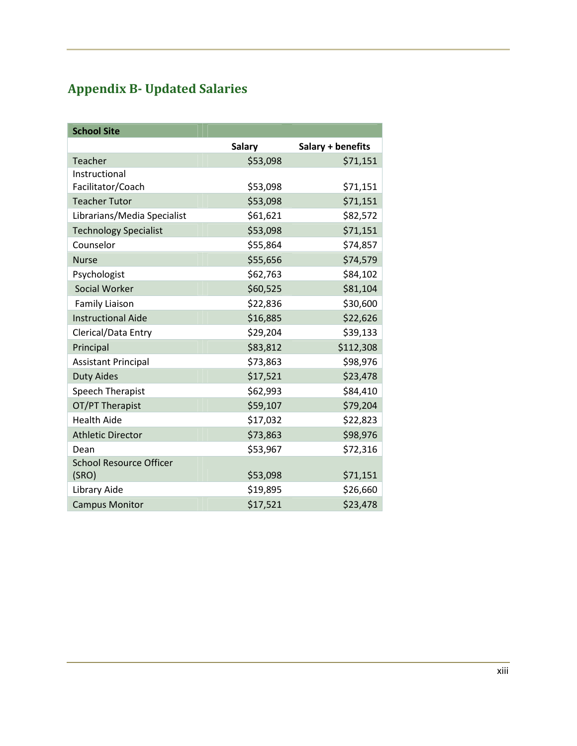# **Appendix B- Updated Salaries**

| <b>School Site</b>             |               |                   |
|--------------------------------|---------------|-------------------|
|                                | <b>Salary</b> | Salary + benefits |
| <b>Teacher</b>                 | \$53,098      | \$71,151          |
| Instructional                  |               |                   |
| Facilitator/Coach              | \$53,098      | \$71,151          |
| <b>Teacher Tutor</b>           | \$53,098      | \$71,151          |
| Librarians/Media Specialist    | \$61,621      | \$82,572          |
| <b>Technology Specialist</b>   | \$53,098      | \$71,151          |
| Counselor                      | \$55,864      | \$74,857          |
| <b>Nurse</b>                   | \$55,656      | \$74,579          |
| Psychologist                   | \$62,763      | \$84,102          |
| <b>Social Worker</b>           | \$60,525      | \$81,104          |
| <b>Family Liaison</b>          | \$22,836      | \$30,600          |
| <b>Instructional Aide</b>      | \$16,885      | \$22,626          |
| Clerical/Data Entry            | \$29,204      | \$39,133          |
| Principal                      | \$83,812      | \$112,308         |
| <b>Assistant Principal</b>     | \$73,863      | \$98,976          |
| <b>Duty Aides</b>              | \$17,521      | \$23,478          |
| <b>Speech Therapist</b>        | \$62,993      | \$84,410          |
| OT/PT Therapist                | \$59,107      | \$79,204          |
| <b>Health Aide</b>             | \$17,032      | \$22,823          |
| <b>Athletic Director</b>       | \$73,863      | \$98,976          |
| Dean                           | \$53,967      | \$72,316          |
| <b>School Resource Officer</b> |               |                   |
| (SRO)                          | \$53,098      | \$71,151          |
| Library Aide                   | \$19,895      | \$26,660          |
| <b>Campus Monitor</b>          | \$17,521      | \$23,478          |